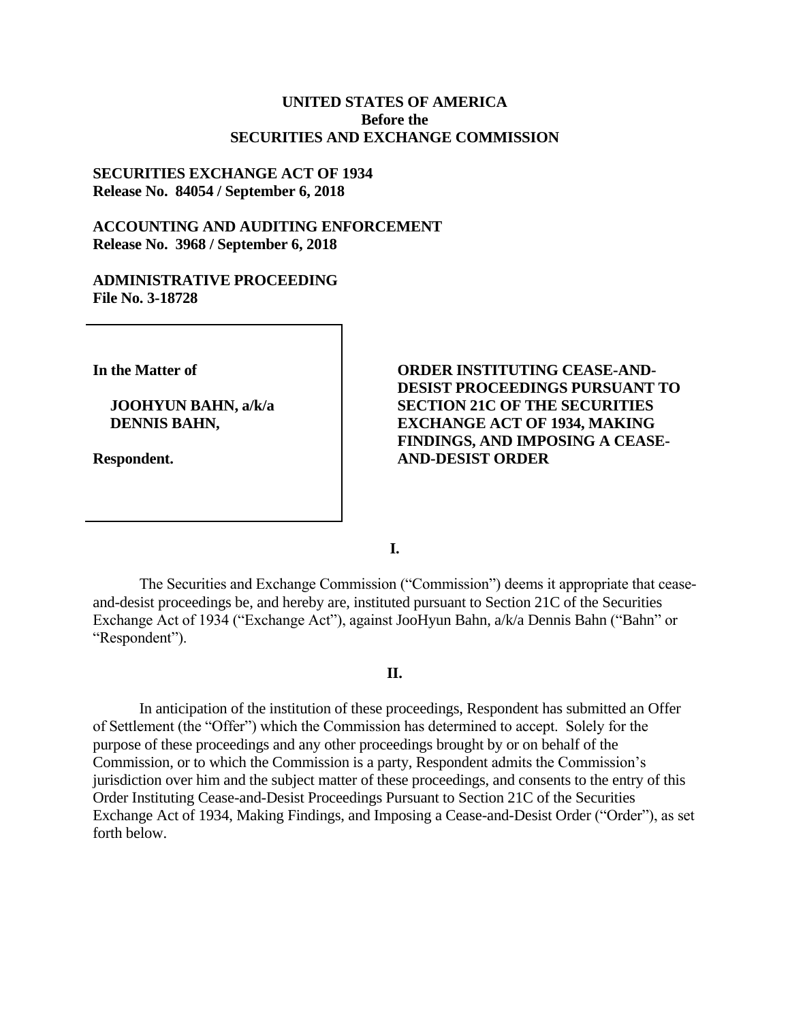## **UNITED STATES OF AMERICA Before the SECURITIES AND EXCHANGE COMMISSION**

### **SECURITIES EXCHANGE ACT OF 1934 Release No. 84054 / September 6, 2018**

# **ACCOUNTING AND AUDITING ENFORCEMENT Release No. 3968 / September 6, 2018**

### **ADMINISTRATIVE PROCEEDING File No. 3-18728**

**In the Matter of**

**JOOHYUN BAHN, a/k/a DENNIS BAHN,**

**Respondent.**

**ORDER INSTITUTING CEASE-AND-DESIST PROCEEDINGS PURSUANT TO SECTION 21C OF THE SECURITIES EXCHANGE ACT OF 1934, MAKING FINDINGS, AND IMPOSING A CEASE-AND-DESIST ORDER** 

**I.**

The Securities and Exchange Commission ("Commission") deems it appropriate that ceaseand-desist proceedings be, and hereby are, instituted pursuant to Section 21C of the Securities Exchange Act of 1934 ("Exchange Act"), against JooHyun Bahn, a/k/a Dennis Bahn ("Bahn" or "Respondent").

### **II.**

In anticipation of the institution of these proceedings, Respondent has submitted an Offer of Settlement (the "Offer") which the Commission has determined to accept. Solely for the purpose of these proceedings and any other proceedings brought by or on behalf of the Commission, or to which the Commission is a party, Respondent admits the Commission's jurisdiction over him and the subject matter of these proceedings, and consents to the entry of this Order Instituting Cease-and-Desist Proceedings Pursuant to Section 21C of the Securities Exchange Act of 1934, Making Findings, and Imposing a Cease-and-Desist Order ("Order"), as set forth below.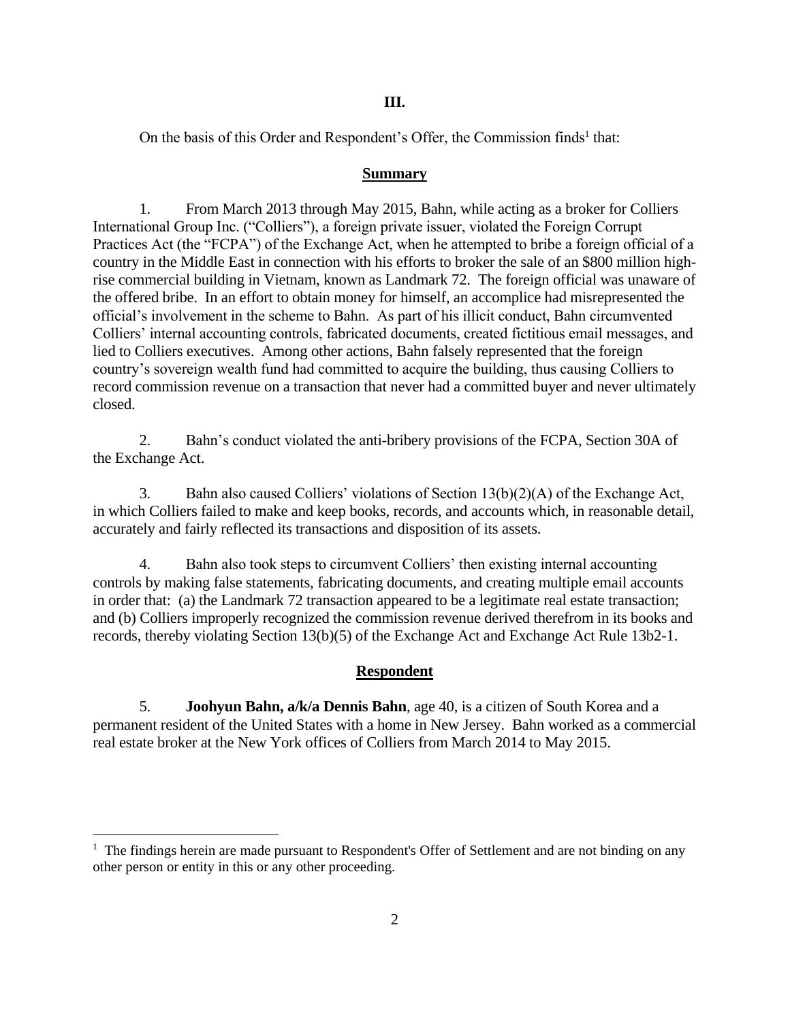## **III.**

On the basis of this Order and Respondent's Offer, the Commission finds<sup>1</sup> that:

## **Summary**

1. From March 2013 through May 2015, Bahn, while acting as a broker for Colliers International Group Inc. ("Colliers"), a foreign private issuer, violated the Foreign Corrupt Practices Act (the "FCPA") of the Exchange Act, when he attempted to bribe a foreign official of a country in the Middle East in connection with his efforts to broker the sale of an \$800 million highrise commercial building in Vietnam, known as Landmark 72. The foreign official was unaware of the offered bribe. In an effort to obtain money for himself, an accomplice had misrepresented the official's involvement in the scheme to Bahn. As part of his illicit conduct, Bahn circumvented Colliers' internal accounting controls, fabricated documents, created fictitious email messages, and lied to Colliers executives. Among other actions, Bahn falsely represented that the foreign country's sovereign wealth fund had committed to acquire the building, thus causing Colliers to record commission revenue on a transaction that never had a committed buyer and never ultimately closed.

2. Bahn's conduct violated the anti-bribery provisions of the FCPA, Section 30A of the Exchange Act.

3. Bahn also caused Colliers' violations of Section 13(b)(2)(A) of the Exchange Act, in which Colliers failed to make and keep books, records, and accounts which, in reasonable detail, accurately and fairly reflected its transactions and disposition of its assets.

4. Bahn also took steps to circumvent Colliers' then existing internal accounting controls by making false statements, fabricating documents, and creating multiple email accounts in order that: (a) the Landmark 72 transaction appeared to be a legitimate real estate transaction; and (b) Colliers improperly recognized the commission revenue derived therefrom in its books and records, thereby violating Section 13(b)(5) of the Exchange Act and Exchange Act Rule 13b2-1.

## **Respondent**

5. **Joohyun Bahn, a/k/a Dennis Bahn**, age 40, is a citizen of South Korea and a permanent resident of the United States with a home in New Jersey. Bahn worked as a commercial real estate broker at the New York offices of Colliers from March 2014 to May 2015.

 $\overline{a}$ 

<sup>&</sup>lt;sup>1</sup> The findings herein are made pursuant to Respondent's Offer of Settlement and are not binding on any other person or entity in this or any other proceeding.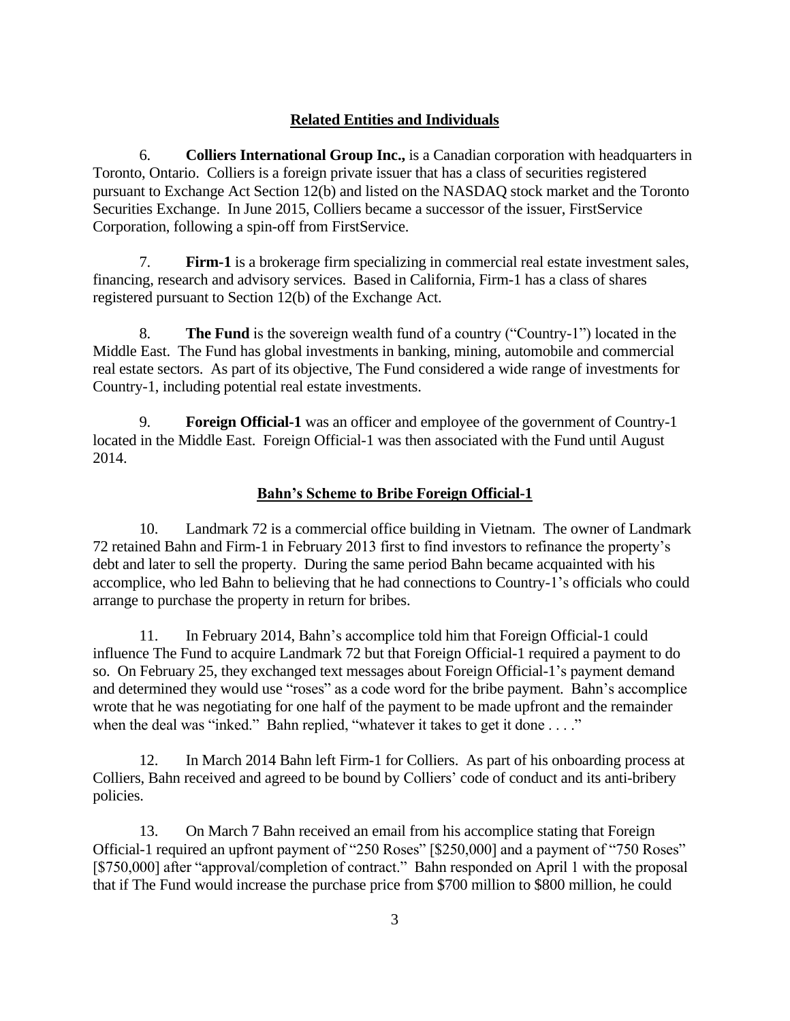# **Related Entities and Individuals**

6. **Colliers International Group Inc.,** is a Canadian corporation with headquarters in Toronto, Ontario. Colliers is a foreign private issuer that has a class of securities registered pursuant to Exchange Act Section 12(b) and listed on the NASDAQ stock market and the Toronto Securities Exchange. In June 2015, Colliers became a successor of the issuer, FirstService Corporation, following a spin-off from FirstService.

7. **Firm-1** is a brokerage firm specializing in commercial real estate investment sales, financing, research and advisory services. Based in California, Firm-1 has a class of shares registered pursuant to Section 12(b) of the Exchange Act.

8. **The Fund** is the sovereign wealth fund of a country ("Country-1") located in the Middle East. The Fund has global investments in banking, mining, automobile and commercial real estate sectors. As part of its objective, The Fund considered a wide range of investments for Country-1, including potential real estate investments.

9. **Foreign Official-1** was an officer and employee of the government of Country-1 located in the Middle East. Foreign Official-1 was then associated with the Fund until August 2014.

# **Bahn's Scheme to Bribe Foreign Official-1**

10. Landmark 72 is a commercial office building in Vietnam. The owner of Landmark 72 retained Bahn and Firm-1 in February 2013 first to find investors to refinance the property's debt and later to sell the property. During the same period Bahn became acquainted with his accomplice, who led Bahn to believing that he had connections to Country-1's officials who could arrange to purchase the property in return for bribes.

11. In February 2014, Bahn's accomplice told him that Foreign Official-1 could influence The Fund to acquire Landmark 72 but that Foreign Official-1 required a payment to do so. On February 25, they exchanged text messages about Foreign Official-1's payment demand and determined they would use "roses" as a code word for the bribe payment. Bahn's accomplice wrote that he was negotiating for one half of the payment to be made upfront and the remainder when the deal was "inked." Bahn replied, "whatever it takes to get it done . . . ."

12. In March 2014 Bahn left Firm-1 for Colliers. As part of his onboarding process at Colliers, Bahn received and agreed to be bound by Colliers' code of conduct and its anti-bribery policies.

13. On March 7 Bahn received an email from his accomplice stating that Foreign Official-1 required an upfront payment of "250 Roses" [\$250,000] and a payment of "750 Roses" [\$750,000] after "approval/completion of contract." Bahn responded on April 1 with the proposal that if The Fund would increase the purchase price from \$700 million to \$800 million, he could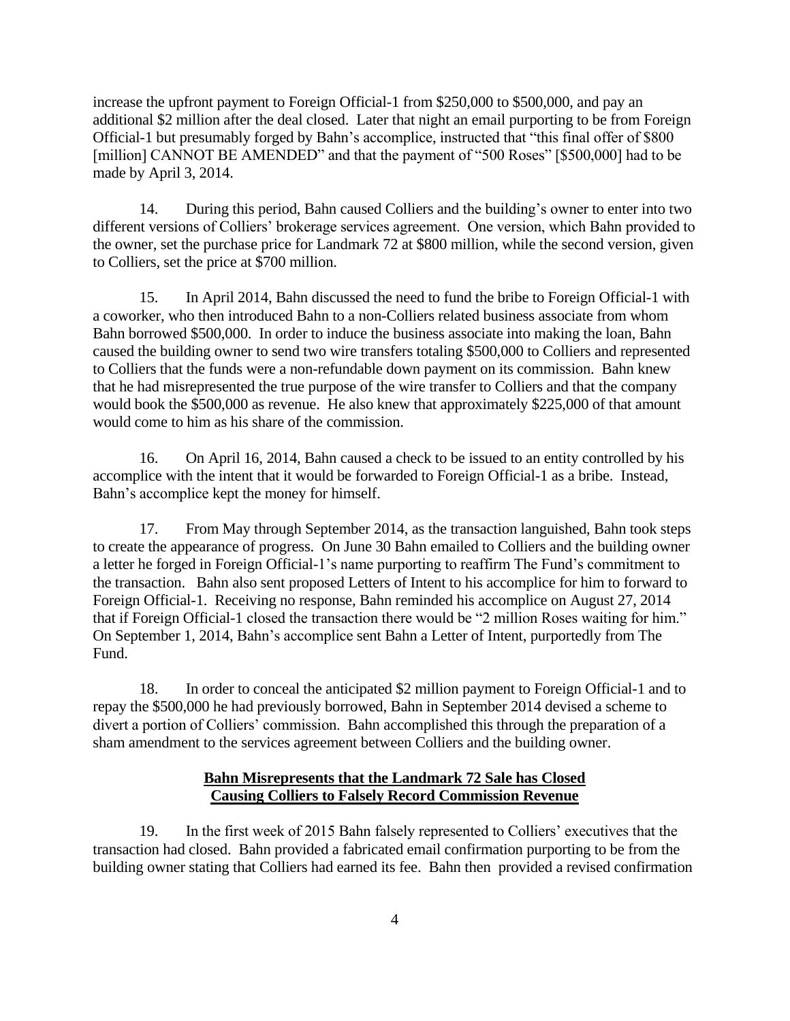increase the upfront payment to Foreign Official-1 from \$250,000 to \$500,000, and pay an additional \$2 million after the deal closed. Later that night an email purporting to be from Foreign Official-1 but presumably forged by Bahn's accomplice, instructed that "this final offer of \$800 [million] CANNOT BE AMENDED" and that the payment of "500 Roses" [\$500,000] had to be made by April 3, 2014.

14. During this period, Bahn caused Colliers and the building's owner to enter into two different versions of Colliers' brokerage services agreement. One version, which Bahn provided to the owner, set the purchase price for Landmark 72 at \$800 million, while the second version, given to Colliers, set the price at \$700 million.

15. In April 2014, Bahn discussed the need to fund the bribe to Foreign Official-1 with a coworker, who then introduced Bahn to a non-Colliers related business associate from whom Bahn borrowed \$500,000. In order to induce the business associate into making the loan, Bahn caused the building owner to send two wire transfers totaling \$500,000 to Colliers and represented to Colliers that the funds were a non-refundable down payment on its commission. Bahn knew that he had misrepresented the true purpose of the wire transfer to Colliers and that the company would book the \$500,000 as revenue. He also knew that approximately \$225,000 of that amount would come to him as his share of the commission.

16. On April 16, 2014, Bahn caused a check to be issued to an entity controlled by his accomplice with the intent that it would be forwarded to Foreign Official-1 as a bribe. Instead, Bahn's accomplice kept the money for himself.

17. From May through September 2014, as the transaction languished, Bahn took steps to create the appearance of progress. On June 30 Bahn emailed to Colliers and the building owner a letter he forged in Foreign Official-1's name purporting to reaffirm The Fund's commitment to the transaction. Bahn also sent proposed Letters of Intent to his accomplice for him to forward to Foreign Official-1. Receiving no response, Bahn reminded his accomplice on August 27, 2014 that if Foreign Official-1 closed the transaction there would be "2 million Roses waiting for him." On September 1, 2014, Bahn's accomplice sent Bahn a Letter of Intent, purportedly from The Fund.

18. In order to conceal the anticipated \$2 million payment to Foreign Official-1 and to repay the \$500,000 he had previously borrowed, Bahn in September 2014 devised a scheme to divert a portion of Colliers' commission. Bahn accomplished this through the preparation of a sham amendment to the services agreement between Colliers and the building owner.

# **Bahn Misrepresents that the Landmark 72 Sale has Closed Causing Colliers to Falsely Record Commission Revenue**

19. In the first week of 2015 Bahn falsely represented to Colliers' executives that the transaction had closed. Bahn provided a fabricated email confirmation purporting to be from the building owner stating that Colliers had earned its fee. Bahn then provided a revised confirmation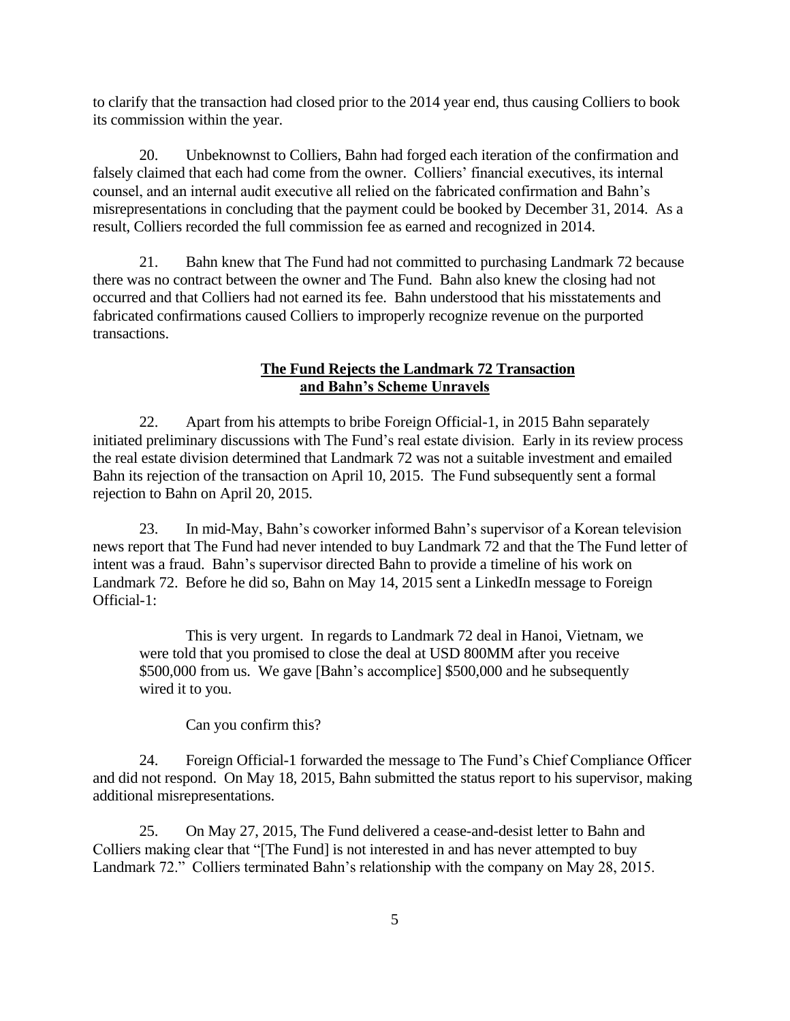to clarify that the transaction had closed prior to the 2014 year end, thus causing Colliers to book its commission within the year.

20. Unbeknownst to Colliers, Bahn had forged each iteration of the confirmation and falsely claimed that each had come from the owner. Colliers' financial executives, its internal counsel, and an internal audit executive all relied on the fabricated confirmation and Bahn's misrepresentations in concluding that the payment could be booked by December 31, 2014. As a result, Colliers recorded the full commission fee as earned and recognized in 2014.

21. Bahn knew that The Fund had not committed to purchasing Landmark 72 because there was no contract between the owner and The Fund. Bahn also knew the closing had not occurred and that Colliers had not earned its fee. Bahn understood that his misstatements and fabricated confirmations caused Colliers to improperly recognize revenue on the purported transactions.

### **The Fund Rejects the Landmark 72 Transaction and Bahn's Scheme Unravels**

22. Apart from his attempts to bribe Foreign Official-1, in 2015 Bahn separately initiated preliminary discussions with The Fund's real estate division. Early in its review process the real estate division determined that Landmark 72 was not a suitable investment and emailed Bahn its rejection of the transaction on April 10, 2015. The Fund subsequently sent a formal rejection to Bahn on April 20, 2015.

23. In mid-May, Bahn's coworker informed Bahn's supervisor of a Korean television news report that The Fund had never intended to buy Landmark 72 and that the The Fund letter of intent was a fraud. Bahn's supervisor directed Bahn to provide a timeline of his work on Landmark 72. Before he did so, Bahn on May 14, 2015 sent a LinkedIn message to Foreign Official-1:

This is very urgent. In regards to Landmark 72 deal in Hanoi, Vietnam, we were told that you promised to close the deal at USD 800MM after you receive \$500,000 from us. We gave [Bahn's accomplice] \$500,000 and he subsequently wired it to you.

Can you confirm this?

24. Foreign Official-1 forwarded the message to The Fund's Chief Compliance Officer and did not respond. On May 18, 2015, Bahn submitted the status report to his supervisor, making additional misrepresentations.

25. On May 27, 2015, The Fund delivered a cease-and-desist letter to Bahn and Colliers making clear that "[The Fund] is not interested in and has never attempted to buy Landmark 72." Colliers terminated Bahn's relationship with the company on May 28, 2015.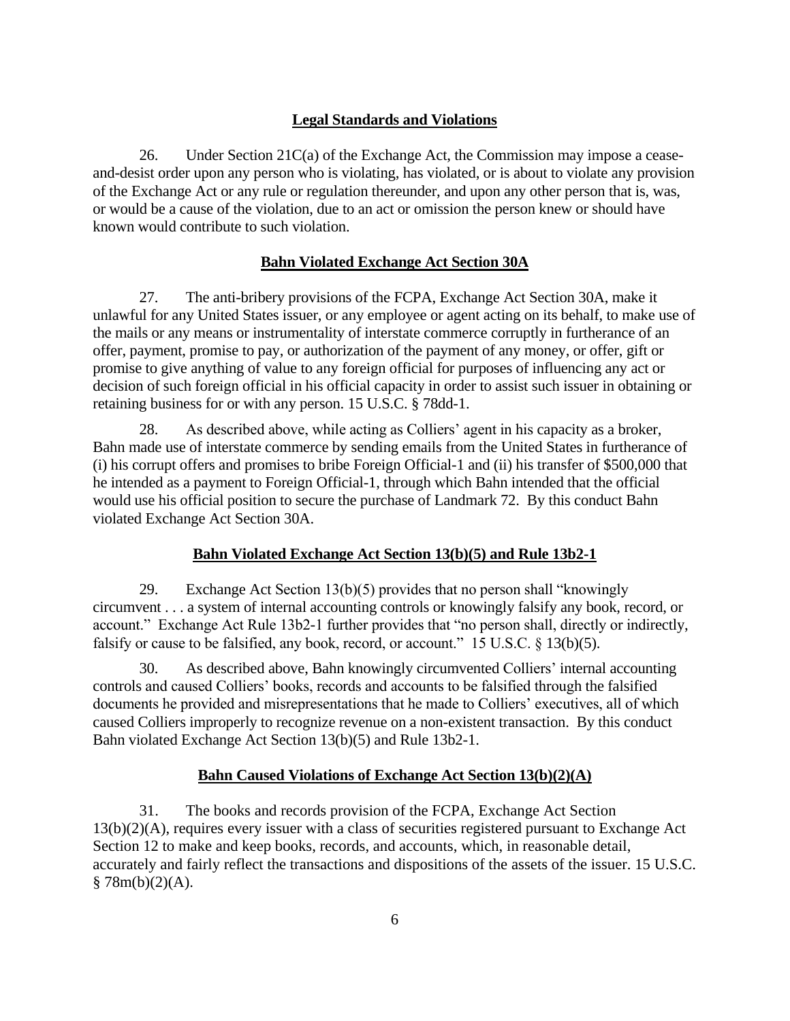## **Legal Standards and Violations**

26. Under Section 21C(a) of the Exchange Act, the Commission may impose a ceaseand-desist order upon any person who is violating, has violated, or is about to violate any provision of the Exchange Act or any rule or regulation thereunder, and upon any other person that is, was, or would be a cause of the violation, due to an act or omission the person knew or should have known would contribute to such violation.

#### **Bahn Violated Exchange Act Section 30A**

27. The anti-bribery provisions of the FCPA, Exchange Act Section 30A, make it unlawful for any United States issuer, or any employee or agent acting on its behalf, to make use of the mails or any means or instrumentality of interstate commerce corruptly in furtherance of an offer, payment, promise to pay, or authorization of the payment of any money, or offer, gift or promise to give anything of value to any foreign official for purposes of influencing any act or decision of such foreign official in his official capacity in order to assist such issuer in obtaining or retaining business for or with any person. 15 U.S.C. § 78dd-1.

28. As described above, while acting as Colliers' agent in his capacity as a broker, Bahn made use of interstate commerce by sending emails from the United States in furtherance of (i) his corrupt offers and promises to bribe Foreign Official-1 and (ii) his transfer of \$500,000 that he intended as a payment to Foreign Official-1, through which Bahn intended that the official would use his official position to secure the purchase of Landmark 72. By this conduct Bahn violated Exchange Act Section 30A.

#### **Bahn Violated Exchange Act Section 13(b)(5) and Rule 13b2-1**

29. Exchange Act Section 13(b)(5) provides that no person shall "knowingly circumvent . . . a system of internal accounting controls or knowingly falsify any book, record, or account." Exchange Act Rule 13b2-1 further provides that "no person shall, directly or indirectly, falsify or cause to be falsified, any book, record, or account." 15 U.S.C.  $\frac{13(b)}{5}$ .

30. As described above, Bahn knowingly circumvented Colliers' internal accounting controls and caused Colliers' books, records and accounts to be falsified through the falsified documents he provided and misrepresentations that he made to Colliers' executives, all of which caused Colliers improperly to recognize revenue on a non-existent transaction. By this conduct Bahn violated Exchange Act Section 13(b)(5) and Rule 13b2-1.

### **Bahn Caused Violations of Exchange Act Section 13(b)(2)(A)**

31. The books and records provision of the FCPA, Exchange Act Section 13(b)(2)(A), requires every issuer with a class of securities registered pursuant to Exchange Act Section 12 to make and keep books, records, and accounts, which, in reasonable detail, accurately and fairly reflect the transactions and dispositions of the assets of the issuer. 15 U.S.C.  $$78m(b)(2)(A).$